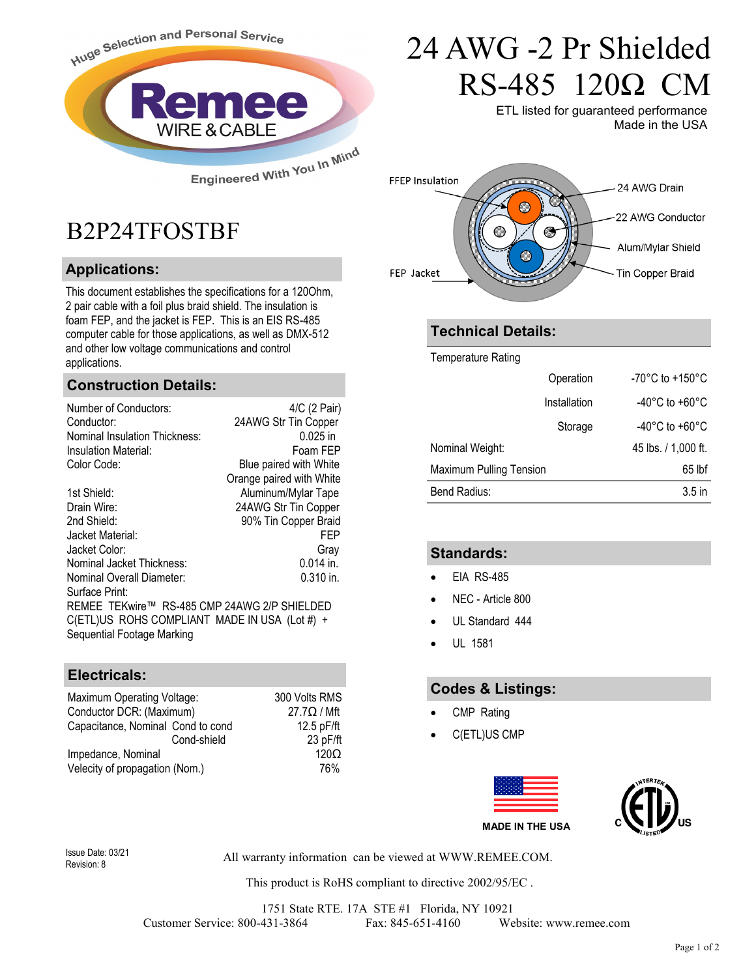

**Construction Details:**

B2P24TFOSTBF

**Applications:**

applications.

Number of Conductors: 4/C (2 Pair)<br>Conductor: 24AWG Str Tin Copper

This document establishes the specifications for a 120Ohm, 2 pair cable with a foil plus braid shield. The insulation is foam FEP, and the jacket is FEP. This is an EIS RS-485 computer cable for those applications, as well as DMX-512 and other low voltage communications and control

Nominal Insulation Thickness: 0.025 in Insulation Material: Foam FEP Color Code: Blue paired with White

1st Shield: Aluminum/Mylar Tape Drain Wire: 24AWG Str Tin Copper 2nd Shield: 90% Tin Copper Braid Jacket Material: FEP Jacket Color: Gray Nominal Jacket Thickness: 0.014 in. Nominal Overall Diameter: 0.310 in.

REMEE TEKwire™ RS-485 CMP 24AWG 2/P SHIELDED C(ETL)US ROHS COMPLIANT MADE IN USA (Lot #) +

Maximum Operating Voltage: 300 Volts RMS<br>Conductor DCR: (Maximum) 37.7Ω / Mft

Capacitance, Nominal Cond to cond 12.5 pF/ft

Impedance, Nominal 120Ω Velecity of propagation (Nom.) 76%

Cond-shield 23 pF/ft

24AWG Str Tin Copper

Orange paired with White

# 24 AWG -2 Pr Shielded RS-485 120Ω CM

ETL listed for guaranteed performance Made in the USA



### **Technical Details:**

Temperature Rating

|                                | Operation    | -70°C to +150°C                     |
|--------------------------------|--------------|-------------------------------------|
|                                | Installation | $-40^{\circ}$ C to +60 $^{\circ}$ C |
|                                | Storage      | -40°C to +60°C                      |
| Nominal Weight:                |              | 45 lbs. / 1,000 ft.                 |
| <b>Maximum Pulling Tension</b> |              | $65$ lbf                            |
| Bend Radius:                   |              | 3.5 <sub>in</sub>                   |

### **Standards:**

- EIA RS-485
- NEC Article 800
- UL Standard 444
- UL 1581

#### **Codes & Listings:**

- CMP Rating
- C(ETL)US CMP



Revision: 8

Surface Print:

**Electricals:**

Sequential Footage Marking

Conductor DCR: (Maximum)

All warranty information can be viewed at WWW.REMEE.COM. Issue Date: 03/21

This product is RoHS compliant to directive 2002/95/EC .

1751 State RTE. 17A STE #1 Florida, NY 10921 Customer Service: 800-431-3864 Fax: 845-651-4160 Website: www.remee.com